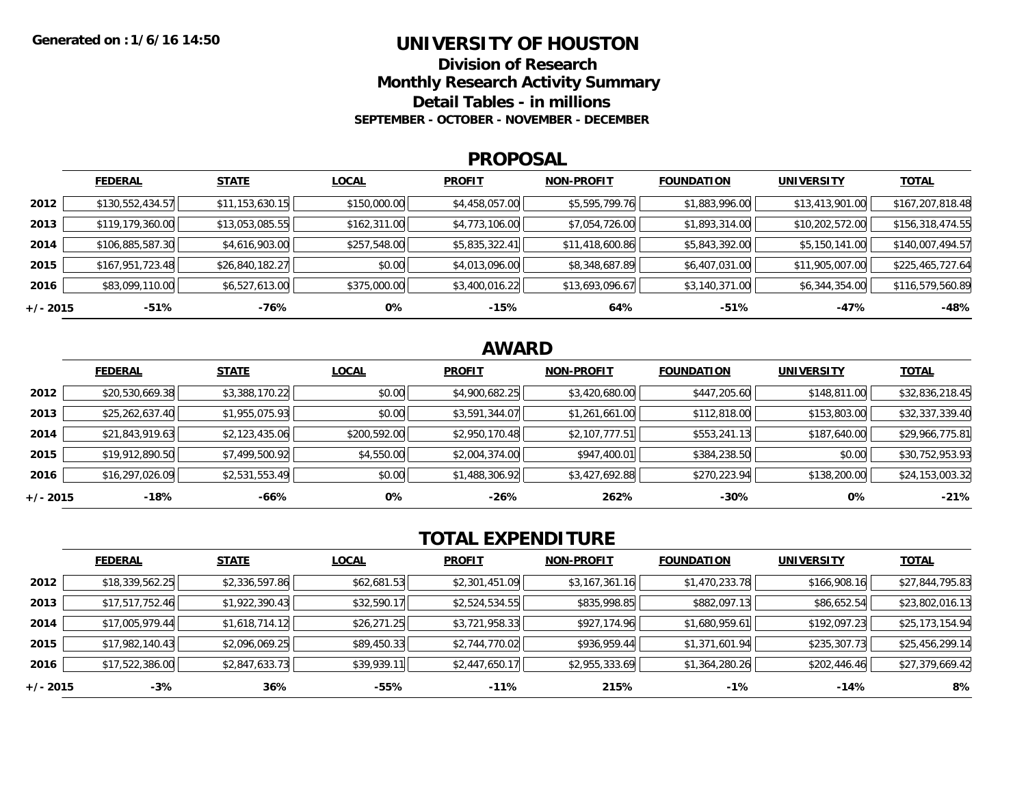### **UNIVERSITY OF HOUSTON**

**Division of ResearchMonthly Research Activity Summary**

**Detail Tables - in millions**

**SEPTEMBER - OCTOBER - NOVEMBER - DECEMBER**

#### **PROPOSAL**

|            | <b>FEDERAL</b>   | <b>STATE</b>    | <b>LOCAL</b> | <b>PROFIT</b>  | <b>NON-PROFIT</b> | <b>FOUNDATION</b> | <b>UNIVERSITY</b> | <b>TOTAL</b>     |
|------------|------------------|-----------------|--------------|----------------|-------------------|-------------------|-------------------|------------------|
| 2012       | \$130,552,434.57 | \$11,153,630.15 | \$150,000.00 | \$4,458,057.00 | \$5,595,799.76    | \$1,883,996.00    | \$13,413,901.00   | \$167,207,818.48 |
| 2013       | \$119,179,360.00 | \$13,053,085.55 | \$162,311.00 | \$4,773,106.00 | \$7,054,726.00    | \$1,893,314.00    | \$10,202,572.00   | \$156,318,474.55 |
| 2014       | \$106,885,587.30 | \$4,616,903.00  | \$257,548.00 | \$5,835,322.41 | \$11,418,600.86   | \$5,843,392.00    | \$5,150,141.00    | \$140,007,494.57 |
| 2015       | \$167,951,723.48 | \$26,840,182.27 | \$0.00       | \$4,013,096.00 | \$8,348,687.89    | \$6,407,031.00    | \$11,905,007.00   | \$225,465,727.64 |
| 2016       | \$83,099,110.00  | \$6,527,613.00  | \$375,000.00 | \$3,400,016.22 | \$13,693,096.67   | \$3,140,371.00    | \$6,344,354.00    | \$116,579,560.89 |
| $+/- 2015$ | -51%             | -76%            | 0%           | $-15%$         | 64%               | $-51%$            | -47%              | $-48%$           |

## **AWARD**

|          | <b>FEDERAL</b>  | <b>STATE</b>   | <b>LOCAL</b> | <b>PROFIT</b>  | <b>NON-PROFIT</b> | <b>FOUNDATION</b> | <b>UNIVERSITY</b> | <b>TOTAL</b>    |
|----------|-----------------|----------------|--------------|----------------|-------------------|-------------------|-------------------|-----------------|
| 2012     | \$20,530,669.38 | \$3,388,170.22 | \$0.00       | \$4,900,682.25 | \$3,420,680.00    | \$447,205.60      | \$148,811.00      | \$32,836,218.45 |
| 2013     | \$25,262,637.40 | \$1,955,075.93 | \$0.00       | \$3,591,344.07 | \$1,261,661.00    | \$112,818.00      | \$153,803.00      | \$32,337,339.40 |
| 2014     | \$21,843,919.63 | \$2,123,435.06 | \$200,592.00 | \$2,950,170.48 | \$2,107,777.51    | \$553,241.13      | \$187,640.00      | \$29,966,775.81 |
| 2015     | \$19,912,890.50 | \$7,499,500.92 | \$4,550.00   | \$2,004,374.00 | \$947,400.01      | \$384,238.50      | \$0.00            | \$30,752,953.93 |
| 2016     | \$16,297,026.09 | \$2,531,553.49 | \$0.00       | \$1,488,306.92 | \$3,427,692.88    | \$270,223.94      | \$138,200.00      | \$24,153,003.32 |
| +/- 2015 | -18%            | -66%           | 0%           | $-26%$         | 262%              | $-30\%$           | 0%                | $-21%$          |

# **TOTAL EXPENDITURE**

|          | <b>FEDERAL</b>  | <b>STATE</b>   | <b>LOCAL</b> | <b>PROFIT</b>  | <b>NON-PROFIT</b> | <b>FOUNDATION</b> | <b>UNIVERSITY</b> | <b>TOTAL</b>    |
|----------|-----------------|----------------|--------------|----------------|-------------------|-------------------|-------------------|-----------------|
| 2012     | \$18,339,562.25 | \$2,336,597.86 | \$62,681.53  | \$2,301,451.09 | \$3,167,361.16    | \$1,470,233.78    | \$166,908.16      | \$27,844,795.83 |
| 2013     | \$17,517,752.46 | \$1,922,390.43 | \$32,590.17  | \$2,524,534.55 | \$835,998.85      | \$882,097.13      | \$86,652.54       | \$23,802,016.13 |
| 2014     | \$17,005,979.44 | \$1,618,714.12 | \$26,271.25  | \$3,721,958.33 | \$927,174.96      | \$1,680,959.61    | \$192,097.23      | \$25,173,154.94 |
| 2015     | \$17,982,140.43 | \$2,096,069.25 | \$89,450.33  | \$2,744,770.02 | \$936,959.44      | \$1,371,601.94    | \$235,307.73      | \$25,456,299.14 |
| 2016     | \$17,522,386.00 | \$2,847,633.73 | \$39,939.11  | \$2,447,650.17 | \$2,955,333.69    | \$1,364,280.26    | \$202,446.46      | \$27,379,669.42 |
| +/- 2015 | $-3%$           | 36%            | -55%         | $-11\%$        | 215%              | $-1%$             | $-14%$            | 8%              |